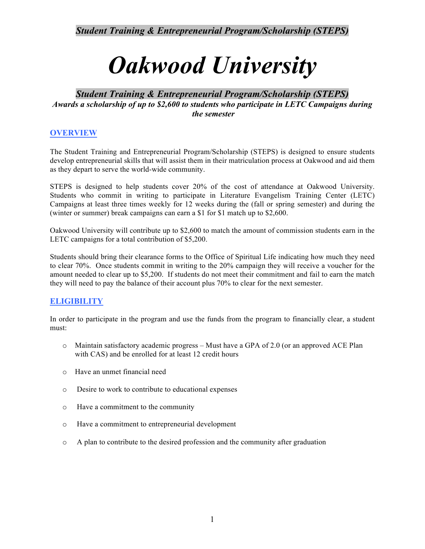# *Oakwood University*

## *Student Training & Entrepreneurial Program/Scholarship (STEPS)*

*Awards a scholarship of up to \$2,600 to students who participate in LETC Campaigns during the semester*

#### **OVERVIEW**

The Student Training and Entrepreneurial Program/Scholarship (STEPS) is designed to ensure students develop entrepreneurial skills that will assist them in their matriculation process at Oakwood and aid them as they depart to serve the world-wide community.

STEPS is designed to help students cover 20% of the cost of attendance at Oakwood University. Students who commit in writing to participate in Literature Evangelism Training Center (LETC) Campaigns at least three times weekly for 12 weeks during the (fall or spring semester) and during the (winter or summer) break campaigns can earn a \$1 for \$1 match up to \$2,600.

Oakwood University will contribute up to \$2,600 to match the amount of commission students earn in the LETC campaigns for a total contribution of \$5,200.

Students should bring their clearance forms to the Office of Spiritual Life indicating how much they need to clear 70%. Once students commit in writing to the 20% campaign they will receive a voucher for the amount needed to clear up to \$5,200. If students do not meet their commitment and fail to earn the match they will need to pay the balance of their account plus 70% to clear for the next semester.

#### **ELIGIBILITY**

In order to participate in the program and use the funds from the program to financially clear, a student must:

- $\circ$  Maintain satisfactory academic progress Must have a GPA of 2.0 (or an approved ACE Plan with CAS) and be enrolled for at least 12 credit hours
- o Have an unmet financial need
- o Desire to work to contribute to educational expenses
- o Have a commitment to the community
- o Have a commitment to entrepreneurial development
- o A plan to contribute to the desired profession and the community after graduation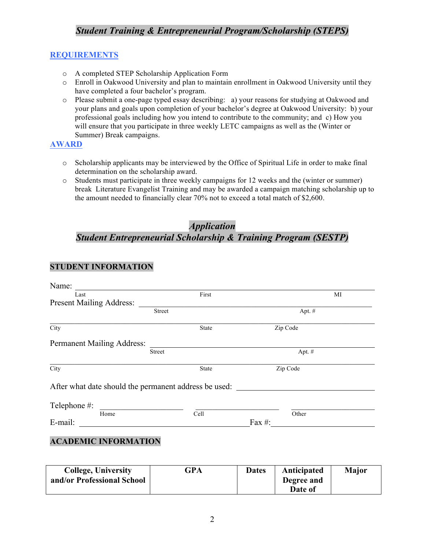#### **REQUIREMENTS**

- o A completed STEP Scholarship Application Form
- o Enroll in Oakwood University and plan to maintain enrollment in Oakwood University until they have completed a four bachelor's program.
- o Please submit a one-page typed essay describing: a) your reasons for studying at Oakwood and your plans and goals upon completion of your bachelor's degree at Oakwood University: b) your professional goals including how you intend to contribute to the community; and c) How you will ensure that you participate in three weekly LETC campaigns as well as the (Winter or Summer) Break campaigns.

#### **AWARD**

- o Scholarship applicants may be interviewed by the Office of Spiritual Life in order to make final determination on the scholarship award.
- o Students must participate in three weekly campaigns for 12 weeks and the (winter or summer) break Literature Evangelist Training and may be awarded a campaign matching scholarship up to the amount needed to financially clear 70% not to exceed a total match of \$2,600.

## *Application Student Entrepreneurial Scholarship & Training Program (SESTP)*

## **STUDENT INFORMATION**

| Name:                                                 |              |          |  |  |  |  |
|-------------------------------------------------------|--------------|----------|--|--|--|--|
| Last                                                  | First        | MI       |  |  |  |  |
| <b>Present Mailing Address:</b>                       |              |          |  |  |  |  |
|                                                       | Street       | Apt. #   |  |  |  |  |
| City                                                  | State        | Zip Code |  |  |  |  |
| <b>Permanent Mailing Address:</b>                     |              |          |  |  |  |  |
| <b>Street</b>                                         |              | Apt. #   |  |  |  |  |
| City                                                  | <b>State</b> | Zip Code |  |  |  |  |
| After what date should the permanent address be used: |              |          |  |  |  |  |
| Telephone #:                                          |              |          |  |  |  |  |
| Home                                                  | Cell         | Other    |  |  |  |  |
| E-mail:                                               | Fax #:       |          |  |  |  |  |

#### **ACADEMIC INFORMATION**

| <b>College, University</b> | GPA | Dates | <b>Anticipated</b> | Major |
|----------------------------|-----|-------|--------------------|-------|
| and/or Professional School |     |       | Degree and         |       |
|                            |     |       | Date of            |       |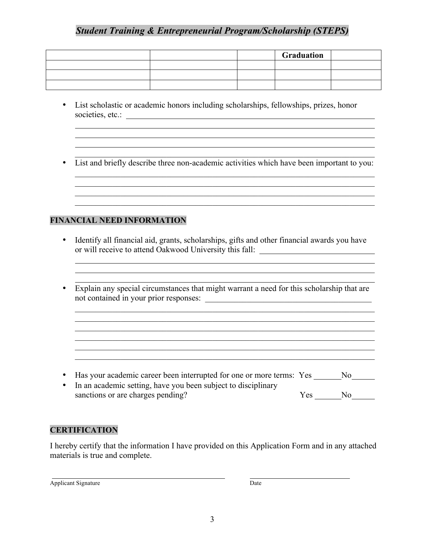|  | Graduation |  |
|--|------------|--|
|  |            |  |
|  |            |  |
|  |            |  |

- List scholastic or academic honors including scholarships, fellowships, prizes, honor societies, etc.: The contract of the contract of the contract of the contract of the contract of the contract of the contract of the contract of the contract of the contract of the contract of the contract of the contract
- List and briefly describe three non-academic activities which have been important to you:

 $\mathcal{L}_\text{max}$  , and the contribution of the contribution of the contribution of the contribution of the contribution of the contribution of the contribution of the contribution of the contribution of the contribution of t

 $\mathcal{L}_\text{max} = \mathcal{L}_\text{max} = \mathcal{L}_\text{max} = \mathcal{L}_\text{max} = \mathcal{L}_\text{max} = \mathcal{L}_\text{max} = \mathcal{L}_\text{max} = \mathcal{L}_\text{max} = \mathcal{L}_\text{max} = \mathcal{L}_\text{max} = \mathcal{L}_\text{max} = \mathcal{L}_\text{max} = \mathcal{L}_\text{max} = \mathcal{L}_\text{max} = \mathcal{L}_\text{max} = \mathcal{L}_\text{max} = \mathcal{L}_\text{max} = \mathcal{L}_\text{max} = \mathcal{$  $\mathcal{L}_\text{max}$  , and the contribution of the contribution of the contribution of the contribution of the contribution of the contribution of the contribution of the contribution of the contribution of the contribution of t  $\mathcal{L}_\mathcal{L}$  , and the contribution of the contribution of the contribution of the contribution of the contribution of the contribution of the contribution of the contribution of the contribution of the contribution of  $\mathcal{L}_\text{max} = \mathcal{L}_\text{max} = \mathcal{L}_\text{max} = \mathcal{L}_\text{max} = \mathcal{L}_\text{max} = \mathcal{L}_\text{max} = \mathcal{L}_\text{max} = \mathcal{L}_\text{max} = \mathcal{L}_\text{max} = \mathcal{L}_\text{max} = \mathcal{L}_\text{max} = \mathcal{L}_\text{max} = \mathcal{L}_\text{max} = \mathcal{L}_\text{max} = \mathcal{L}_\text{max} = \mathcal{L}_\text{max} = \mathcal{L}_\text{max} = \mathcal{L}_\text{max} = \mathcal{$ 

### **FINANCIAL NEED INFORMATION**

- Identify all financial aid, grants, scholarships, gifts and other financial awards you have or will receive to attend Oakwood University this fall:
- Explain any special circumstances that might warrant a need for this scholarship that are not contained in your prior responses: \_\_\_\_\_\_\_\_\_\_\_\_\_\_\_\_\_\_\_\_\_\_\_\_\_\_\_\_\_\_\_\_\_\_\_\_\_\_\_\_

 $\mathcal{L}_\text{max}$  , and the contribution of the contribution of the contribution of the contribution of the contribution of the contribution of the contribution of the contribution of the contribution of the contribution of t  $\mathcal{L}_\text{max} = \mathcal{L}_\text{max} = \mathcal{L}_\text{max} = \mathcal{L}_\text{max} = \mathcal{L}_\text{max} = \mathcal{L}_\text{max} = \mathcal{L}_\text{max} = \mathcal{L}_\text{max} = \mathcal{L}_\text{max} = \mathcal{L}_\text{max} = \mathcal{L}_\text{max} = \mathcal{L}_\text{max} = \mathcal{L}_\text{max} = \mathcal{L}_\text{max} = \mathcal{L}_\text{max} = \mathcal{L}_\text{max} = \mathcal{L}_\text{max} = \mathcal{L}_\text{max} = \mathcal{$  $\mathcal{L}_\mathcal{L} = \{ \mathcal{L}_\mathcal{L} = \{ \mathcal{L}_\mathcal{L} = \{ \mathcal{L}_\mathcal{L} = \{ \mathcal{L}_\mathcal{L} = \{ \mathcal{L}_\mathcal{L} = \{ \mathcal{L}_\mathcal{L} = \{ \mathcal{L}_\mathcal{L} = \{ \mathcal{L}_\mathcal{L} = \{ \mathcal{L}_\mathcal{L} = \{ \mathcal{L}_\mathcal{L} = \{ \mathcal{L}_\mathcal{L} = \{ \mathcal{L}_\mathcal{L} = \{ \mathcal{L}_\mathcal{L} = \{ \mathcal{L}_\mathcal{$  $\mathcal{L}_\mathcal{L}$  , and the contribution of the contribution of the contribution of the contribution of the contribution of the contribution of the contribution of the contribution of the contribution of the contribution of

 $\mathcal{L}_\text{max}$  , and the contribution of the contribution of the contribution of the contribution of the contribution of the contribution of the contribution of the contribution of the contribution of the contribution of t

\_\_\_\_\_\_

- Has your academic career been interrupted for one or more terms: Yes No
- In an academic setting, have you been subject to disciplinary sanctions or are charges pending? Yes No

#### **CERTIFICATION**

I hereby certify that the information I have provided on this Application Form and in any attached materials is true and complete.

Applicant Signature Date